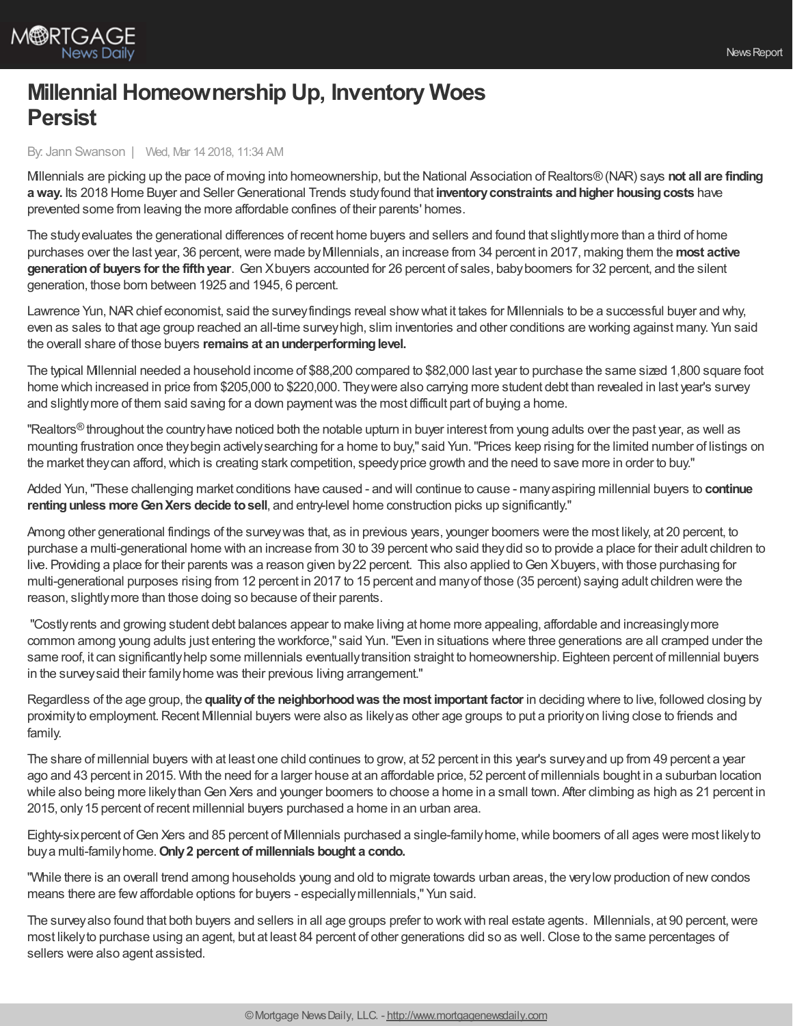

## **Millennial Homeownership Up, Inventory Woes Persist**

By: Jann Swanson | Wed, Mar 14 2018, 11:34 AM

Millennials are picking up the pace of moving into homeownership, but the National Association ofRealtors®(NAR) says **not all are finding** a way. Its 2018 Home Buyer and Seller Generational Trends study found that inventory constraints and higher housing costs have prevented some from leaving the more affordable confines of their parents' homes.

The studyevaluates the generational differences of recent home buyers and sellers and found that slightlymore than a third of home purchases over the last year, 36 percent, were made by Millennials, an increase from 34 percent in 2017, making them the most active **generationof buyers for the fifthyear**. Gen Xbuyers accounted for 26 percent of sales, babyboomers for 32 percent, and the silent generation, those born between 1925 and 1945, 6 percent.

Lawrence Yun, NAR chief economist, said the survey findings reveal show what it takes for Millennials to be a successful buyer and why, even as sales to that age group reached an all-time surveyhigh, slim inventories and other conditions are working against many. Yun said the overall share of those buyers **remains at anunderperforminglevel.**

The typical Millennial needed a household income of \$88,200 compared to \$82,000 last year to purchase the same sized 1,800 square foot home which increased in price from \$205,000 to \$220,000. Theywere also carrying more student debt than revealed in last year's survey and slightlymore of them said saving for a down paymentwas the most difficult part of buying a home.

"Realtors $^\circledR$ throughout the country have noticed both the notable upturn in buyer interest from young adults over the past year, as well as mounting frustration once theybegin activelysearching for a home to buy," said Yun."Prices keep rising for the limited number of listings on the market they can afford, which is creating stark competition, speedy price growth and the need to save more in order to buy."

Added Yun,"These challenging market conditions have caused - and will continue to cause - manyaspiring millennial buyers to **continue rentingunless moreGenXers decide tosell**, and entry-level home construction picks up significantly."

Among other generational findings of the surveywas that, as in previous years, younger boomers were the most likely, at 20 percent, to purchase a multi-generational home with an increase from 30 to 39 percentwho said theydid so to provide a place for their adult children to live. Providing a place for their parents was a reason given by22 percent. This also applied toGen Xbuyers,with those purchasing for multi-generational purposes rising from 12 percent in 2017 to 15 percent and manyof those (35 percent) saying adult children were the reason, slightlymore than those doing so because of their parents.

"Costlyrents and growing student debt balances appear to make living at home more appealing, affordable and increasinglymore common among young adults just entering the workforce," said Yun."Even in situations where three generations are all cramped under the same roof, it can significantly help some millennials eventually transition straight to homeownership. Eighteen percent of millennial buyers in the surveysaid their familyhome was their previous living arrangement."

Regardless of the age group, the **qualityof the neighborhoodwas the most important factor** in deciding where to live, followed closing by proximityto employment.Recent Millennial buyers were also as likelyas other age groups to put a priorityon living close to friends and family.

The share of millennial buyers with at least one child continues to grow, at 52 percent in this year's surveyand up from 49 percent a year ago and 43 percent in 2015. With the need for a larger house at an affordable price, 52 percent of millennials bought in a suburban location while also being more likely than Gen Xers and younger boomers to choose a home in a small town. After climbing as high as 21 percent in 2015, only 15 percent of recent millennial buyers purchased a home in an urban area.

Eighty-six percent of Gen Xers and 85 percent of Millennials purchased a single-family home, while boomers of all ages were most likely to buya multi-familyhome.**Only2 percent of millennials bought a condo.**

"While there is an overall trend among households young and old to migrate towards urban areas, the very low production of new condos means there are fewaffordable options for buyers - especiallymillennials," Yun said.

The survey also found that both buyers and sellers in all age groups prefer to work with real estate agents. Millennials, at 90 percent, were most likely to purchase using an agent, but at least 84 percent of other generations did so as well. Close to the same percentages of sellers were also agent assisted.